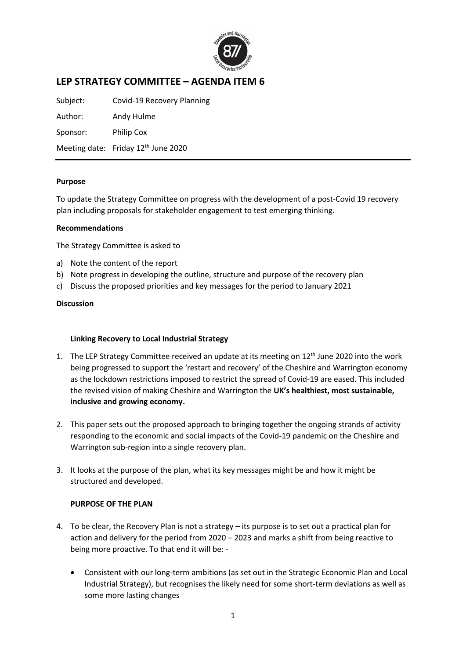

# **LEP STRATEGY COMMITTEE – AGENDA ITEM 6**

Subject: Covid-19 Recovery Planning

Author: Andy Hulme

Sponsor: Philip Cox

Meeting date: Friday 12<sup>th</sup> June 2020

### **Purpose**

To update the Strategy Committee on progress with the development of a post-Covid 19 recovery plan including proposals for stakeholder engagement to test emerging thinking.

### **Recommendations**

The Strategy Committee is asked to

- a) Note the content of the report
- b) Note progress in developing the outline, structure and purpose of the recovery plan
- c) Discuss the proposed priorities and key messages for the period to January 2021

### **Discussion**

# **Linking Recovery to Local Industrial Strategy**

- 1. The LEP Strategy Committee received an update at its meeting on  $12<sup>th</sup>$  June 2020 into the work being progressed to support the 'restart and recovery' of the Cheshire and Warrington economy as the lockdown restrictions imposed to restrict the spread of Covid-19 are eased. This included the revised vision of making Cheshire and Warrington the **UK's healthiest, most sustainable, inclusive and growing economy.**
- 2. This paper sets out the proposed approach to bringing together the ongoing strands of activity responding to the economic and social impacts of the Covid-19 pandemic on the Cheshire and Warrington sub-region into a single recovery plan.
- 3. It looks at the purpose of the plan, what its key messages might be and how it might be structured and developed.

# **PURPOSE OF THE PLAN**

- 4. To be clear, the Recovery Plan is not a strategy its purpose is to set out a practical plan for action and delivery for the period from 2020 – 2023 and marks a shift from being reactive to being more proactive. To that end it will be: -
	- Consistent with our long-term ambitions (as set out in the Strategic Economic Plan and Local Industrial Strategy), but recognises the likely need for some short-term deviations as well as some more lasting changes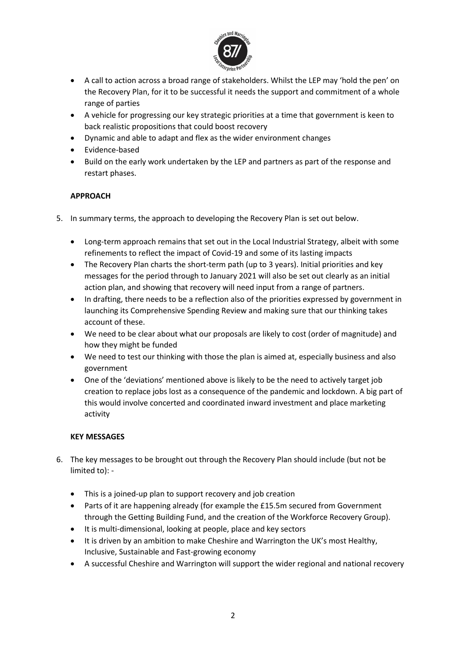

- A call to action across a broad range of stakeholders. Whilst the LEP may 'hold the pen' on the Recovery Plan, for it to be successful it needs the support and commitment of a whole range of parties
- A vehicle for progressing our key strategic priorities at a time that government is keen to back realistic propositions that could boost recovery
- Dynamic and able to adapt and flex as the wider environment changes
- Evidence-based
- Build on the early work undertaken by the LEP and partners as part of the response and restart phases.

# **APPROACH**

- 5. In summary terms, the approach to developing the Recovery Plan is set out below.
	- Long-term approach remains that set out in the Local Industrial Strategy, albeit with some refinements to reflect the impact of Covid-19 and some of its lasting impacts
	- The Recovery Plan charts the short-term path (up to 3 years). Initial priorities and key messages for the period through to January 2021 will also be set out clearly as an initial action plan, and showing that recovery will need input from a range of partners.
	- In drafting, there needs to be a reflection also of the priorities expressed by government in launching its Comprehensive Spending Review and making sure that our thinking takes account of these.
	- We need to be clear about what our proposals are likely to cost (order of magnitude) and how they might be funded
	- We need to test our thinking with those the plan is aimed at, especially business and also government
	- One of the 'deviations' mentioned above is likely to be the need to actively target job creation to replace jobs lost as a consequence of the pandemic and lockdown. A big part of this would involve concerted and coordinated inward investment and place marketing activity

# **KEY MESSAGES**

- 6. The key messages to be brought out through the Recovery Plan should include (but not be limited to): -
	- This is a joined-up plan to support recovery and job creation
	- Parts of it are happening already (for example the £15.5m secured from Government through the Getting Building Fund, and the creation of the Workforce Recovery Group).
	- It is multi-dimensional, looking at people, place and key sectors
	- It is driven by an ambition to make Cheshire and Warrington the UK's most Healthy, Inclusive, Sustainable and Fast-growing economy
	- A successful Cheshire and Warrington will support the wider regional and national recovery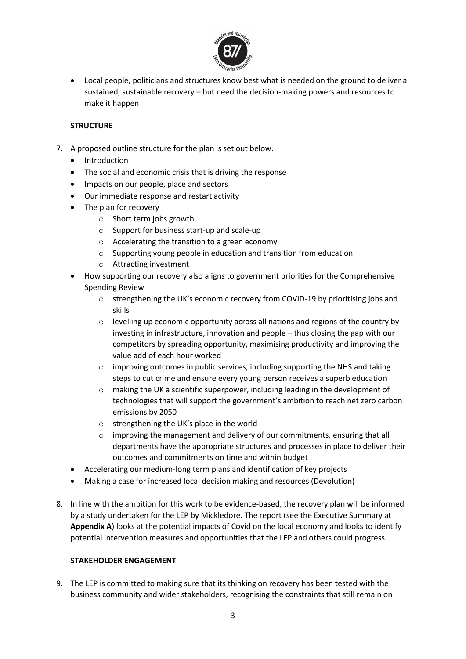

• Local people, politicians and structures know best what is needed on the ground to deliver a sustained, sustainable recovery – but need the decision-making powers and resources to make it happen

# **STRUCTURE**

- 7. A proposed outline structure for the plan is set out below.
	- Introduction
	- The social and economic crisis that is driving the response
	- Impacts on our people, place and sectors
	- Our immediate response and restart activity
	- The plan for recovery
		- o Short term jobs growth
		- o Support for business start-up and scale-up
		- o Accelerating the transition to a green economy
		- o Supporting young people in education and transition from education
		- o Attracting investment
	- How supporting our recovery also aligns to government priorities for the Comprehensive Spending Review
		- o strengthening the UK's economic recovery from COVID-19 by prioritising jobs and skills
		- $\circ$  levelling up economic opportunity across all nations and regions of the country by investing in infrastructure, innovation and people – thus closing the gap with our competitors by spreading opportunity, maximising productivity and improving the value add of each hour worked
		- $\circ$  improving outcomes in public services, including supporting the NHS and taking steps to cut crime and ensure every young person receives a superb education
		- o making the UK a scientific superpower, including leading in the development of technologies that will support the government's ambition to reach net zero carbon emissions by 2050
		- o strengthening the UK's place in the world
		- $\circ$  improving the management and delivery of our commitments, ensuring that all departments have the appropriate structures and processes in place to deliver their outcomes and commitments on time and within budget
	- Accelerating our medium-long term plans and identification of key projects
	- Making a case for increased local decision making and resources (Devolution)
- 8. In line with the ambition for this work to be evidence-based, the recovery plan will be informed by a study undertaken for the LEP by Mickledore. The report (see the Executive Summary at **Appendix A**) looks at the potential impacts of Covid on the local economy and looks to identify potential intervention measures and opportunities that the LEP and others could progress.

# **STAKEHOLDER ENGAGEMENT**

9. The LEP is committed to making sure that its thinking on recovery has been tested with the business community and wider stakeholders, recognising the constraints that still remain on